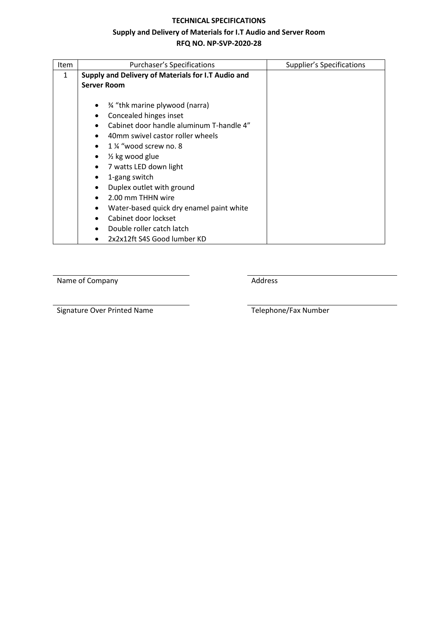#### **TECHNICAL SPECIFICATIONS**

# **Supply and Delivery of Materials for I.T Audio and Server Room**

**RFQ NO. NP-SVP-2020-28**

| Item | <b>Purchaser's Specifications</b>                  | Supplier's Specifications |
|------|----------------------------------------------------|---------------------------|
| 1    | Supply and Delivery of Materials for I.T Audio and |                           |
|      | <b>Server Room</b>                                 |                           |
|      |                                                    |                           |
|      | % "thk marine plywood (narra)                      |                           |
|      | Concealed hinges inset                             |                           |
|      | Cabinet door handle aluminum T-handle 4"           |                           |
|      | 40mm swivel castor roller wheels                   |                           |
|      | 1 % "wood screw no. 8                              |                           |
|      | $\frac{1}{2}$ kg wood glue<br>$\bullet$            |                           |
|      | 7 watts LED down light                             |                           |
|      | 1-gang switch<br>$\bullet$                         |                           |
|      | Duplex outlet with ground                          |                           |
|      | 2.00 mm THHN wire                                  |                           |
|      | Water-based quick dry enamel paint white           |                           |
|      | Cabinet door lockset                               |                           |
|      | Double roller catch latch                          |                           |
|      | 2x2x12ft S4S Good lumber KD                        |                           |

Name of Company **Address** Address

Signature Over Printed Name Telephone/Fax Number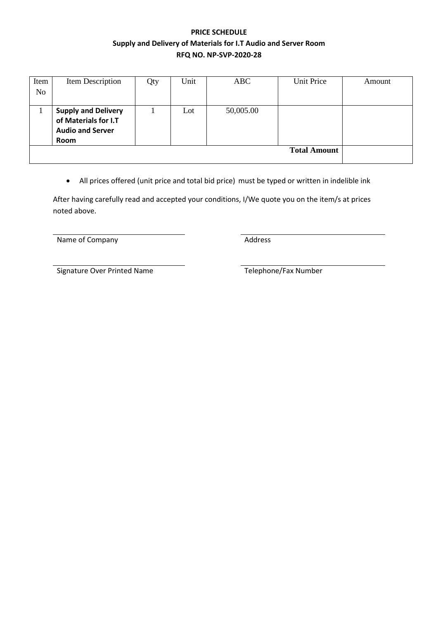## **PRICE SCHEDULE Supply and Delivery of Materials for I.T Audio and Server Room RFQ NO. NP-SVP-2020-28**

| Item<br>N <sub>o</sub> | Item Description                                                                      | Qty | Unit | ABC       | Unit Price | Amount |
|------------------------|---------------------------------------------------------------------------------------|-----|------|-----------|------------|--------|
|                        |                                                                                       |     |      |           |            |        |
|                        | <b>Supply and Delivery</b><br>of Materials for I.T<br><b>Audio and Server</b><br>Room |     | Lot  | 50,005.00 |            |        |
|                        | <b>Total Amount</b>                                                                   |     |      |           |            |        |

• All prices offered (unit price and total bid price) must be typed or written in indelible ink

After having carefully read and accepted your conditions, I/We quote you on the item/s at prices noted above.

Name of Company **Address** 

Signature Over Printed Name Telephone/Fax Number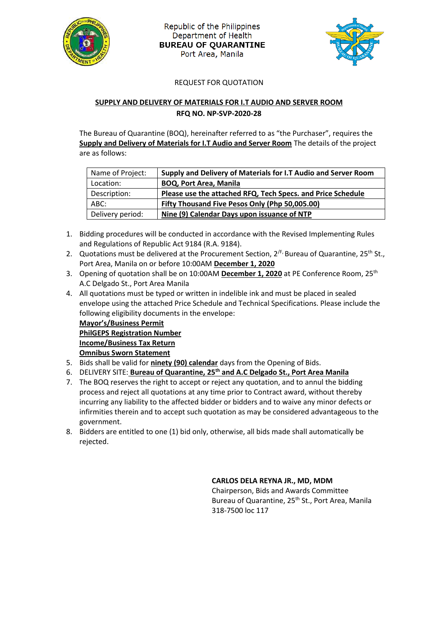

Republic of the Philippines Department of Health **BUREAU OF QUARANTINE** Port Area, Manila



#### REQUEST FOR QUOTATION

### **SUPPLY AND DELIVERY OF MATERIALS FOR I.T AUDIO AND SERVER ROOM RFQ NO. NP-SVP-2020-28**

The Bureau of Quarantine (BOQ), hereinafter referred to as "the Purchaser", requires the **Supply and Delivery of Materials for I.T Audio and Server Room** The details of the project are as follows:

| Name of Project: | Supply and Delivery of Materials for I.T Audio and Server Room |
|------------------|----------------------------------------------------------------|
| Location:        | <b>BOQ, Port Area, Manila</b>                                  |
| Description:     | Please use the attached RFQ, Tech Specs. and Price Schedule    |
| ABC:             | Fifty Thousand Five Pesos Only (Php 50,005.00)                 |
| Delivery period: | Nine (9) Calendar Days upon issuance of NTP                    |

- 1. Bidding procedures will be conducted in accordance with the Revised Implementing Rules and Regulations of Republic Act 9184 (R.A. 9184).
- 2. Quotations must be delivered at the Procurement Section,  $2^{fF}$ , Bureau of Quarantine,  $25^{th}$  St., Port Area, Manila on or before 10:00AM **December 1, 2020**
- 3. Opening of quotation shall be on 10:00AM **December 1, 2020** at PE Conference Room, 25th A.C Delgado St., Port Area Manila
- 4. All quotations must be typed or written in indelible ink and must be placed in sealed envelope using the attached Price Schedule and Technical Specifications. Please include the following eligibility documents in the envelope:

**Mayor's/Business Permit PhilGEPS Registration Number Income/Business Tax Return Omnibus Sworn Statement**

- 5. Bids shall be valid for **ninety (90) calendar** days from the Opening of Bids.
- 6. DELIVERY SITE: **Bureau of Quarantine, 25th and A.C Delgado St., Port Area Manila**
- 7. The BOQ reserves the right to accept or reject any quotation, and to annul the bidding process and reject all quotations at any time prior to Contract award, without thereby incurring any liability to the affected bidder or bidders and to waive any minor defects or infirmities therein and to accept such quotation as may be considered advantageous to the government.
- 8. Bidders are entitled to one (1) bid only, otherwise, all bids made shall automatically be rejected.

#### **CARLOS DELA REYNA JR., MD, MDM**

Chairperson, Bids and Awards Committee Bureau of Quarantine, 25<sup>th</sup> St., Port Area, Manila 318-7500 loc 117